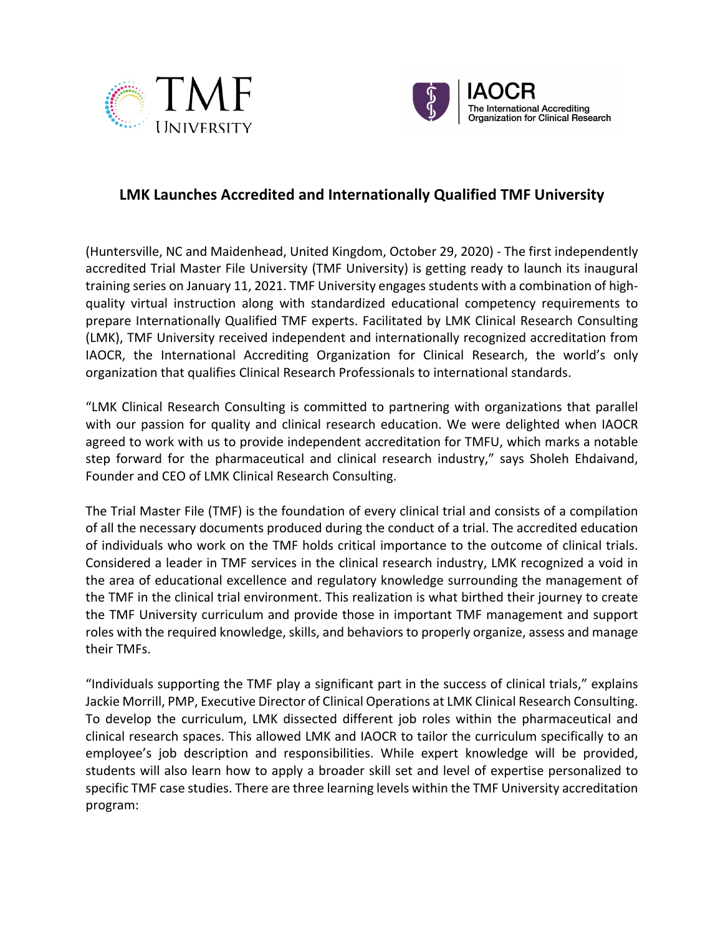



## **LMK Launches Accredited and Internationally Qualified TMF University**

(Huntersville, NC and Maidenhead, United Kingdom, October 29, 2020) - The first independently accredited Trial Master File University (TMF University) is getting ready to launch its inaugural training series on January 11, 2021. TMF University engages students with a combination of highquality virtual instruction along with standardized educational competency requirements to prepare Internationally Qualified TMF experts. Facilitated by LMK Clinical Research Consulting (LMK), TMF University received independent and internationally recognized accreditation from IAOCR, the International Accrediting Organization for Clinical Research, the world's only organization that qualifies Clinical Research Professionals to international standards.

"LMK Clinical Research Consulting is committed to partnering with organizations that parallel with our passion for quality and clinical research education. We were delighted when IAOCR agreed to work with us to provide independent accreditation for TMFU, which marks a notable step forward for the pharmaceutical and clinical research industry," says Sholeh Ehdaivand, Founder and CEO of LMK Clinical Research Consulting.

The Trial Master File (TMF) is the foundation of every clinical trial and consists of a compilation of all the necessary documents produced during the conduct of a trial. The accredited education of individuals who work on the TMF holds critical importance to the outcome of clinical trials. Considered a leader in TMF services in the clinical research industry, LMK recognized a void in the area of educational excellence and regulatory knowledge surrounding the management of the TMF in the clinical trial environment. This realization is what birthed their journey to create the TMF University curriculum and provide those in important TMF management and support roles with the required knowledge, skills, and behaviors to properly organize, assess and manage their TMFs.

"Individuals supporting the TMF play a significant part in the success of clinical trials," explains Jackie Morrill, PMP, Executive Director of Clinical Operations at LMK Clinical Research Consulting. To develop the curriculum, LMK dissected different job roles within the pharmaceutical and clinical research spaces. This allowed LMK and IAOCR to tailor the curriculum specifically to an employee's job description and responsibilities. While expert knowledge will be provided, students will also learn how to apply a broader skill set and level of expertise personalized to specific TMF case studies. There are three learning levels within the TMF University accreditation program: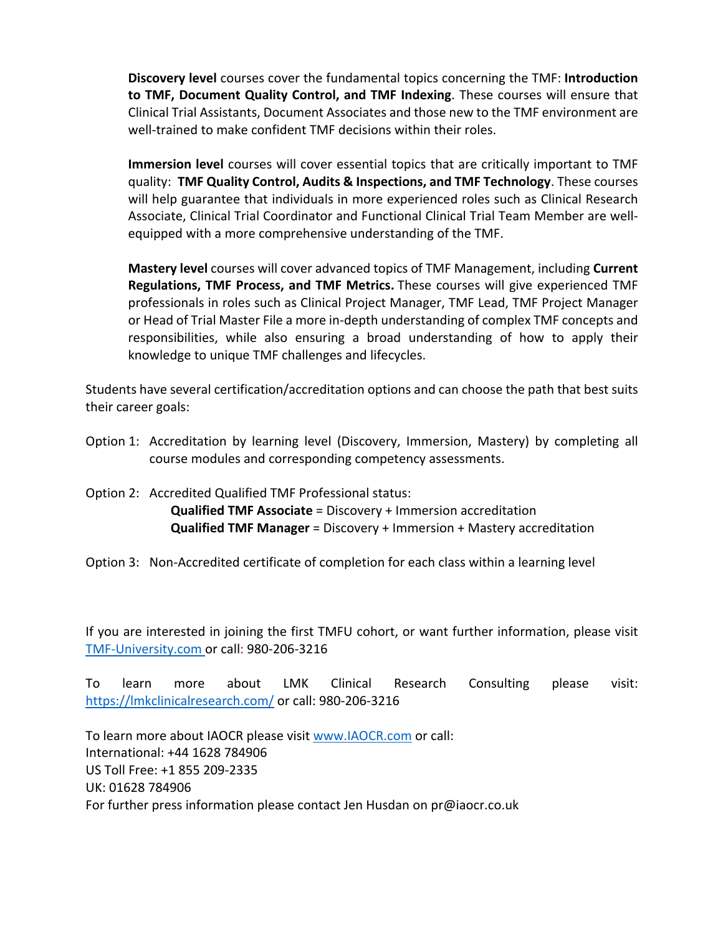**Discovery level** courses cover the fundamental topics concerning the TMF: **Introduction to TMF, Document Quality Control, and TMF Indexing**. These courses will ensure that Clinical Trial Assistants, Document Associates and those new to the TMF environment are well-trained to make confident TMF decisions within their roles.

**Immersion level** courses will cover essential topics that are critically important to TMF quality: **TMF Quality Control, Audits & Inspections, and TMF Technology**. These courses will help guarantee that individuals in more experienced roles such as Clinical Research Associate, Clinical Trial Coordinator and Functional Clinical Trial Team Member are wellequipped with a more comprehensive understanding of the TMF.

**Mastery level** courses will cover advanced topics of TMF Management, including **Current Regulations, TMF Process, and TMF Metrics.** These courses will give experienced TMF professionals in roles such as Clinical Project Manager, TMF Lead, TMF Project Manager or Head of Trial Master File a more in-depth understanding of complex TMF concepts and responsibilities, while also ensuring a broad understanding of how to apply their knowledge to unique TMF challenges and lifecycles.

Students have several certification/accreditation options and can choose the path that best suits their career goals:

Option 1: Accreditation by learning level (Discovery, Immersion, Mastery) by completing all course modules and corresponding competency assessments.

Option 2: Accredited Qualified TMF Professional status: **Qualified TMF Associate** = Discovery + Immersion accreditation **Qualified TMF Manager** = Discovery + Immersion + Mastery accreditation

Option 3: Non-Accredited certificate of completion for each class within a learning level

If you are interested in joining the first TMFU cohort, or want further information, please visit TMF-University.com or call: 980-206-3216

To learn more about LMK Clinical Research Consulting please visit: https://lmkclinicalresearch.com/ or call: 980-206-3216

To learn more about IAOCR please visit www.IAOCR.com or call: International: +44 1628 784906 US Toll Free: +1 855 209-2335 UK: 01628 784906 For further press information please contact Jen Husdan on pr@iaocr.co.uk